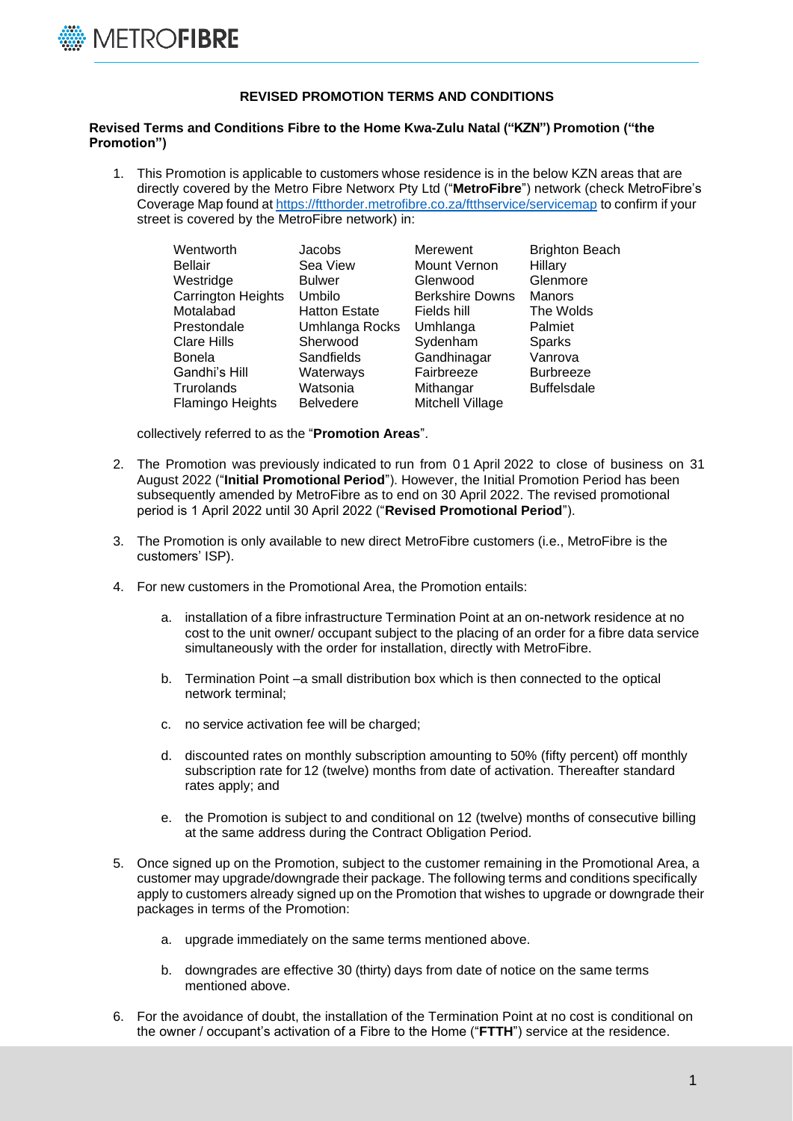

## **REVISED PROMOTION TERMS AND CONDITIONS**

## **Revised Terms and Conditions Fibre to the Home Kwa-Zulu Natal ("KZN") Promotion ("the Promotion")**

1. This Promotion is applicable to customers whose residence is in the below KZN areas that are directly covered by the Metro Fibre Networx Pty Ltd ("**MetroFibre**") network (check MetroFibre's Coverage Map found at <https://ftthorder.metrofibre.co.za/ftthservice/servicemap> to confirm if your street is covered by the MetroFibre network) in:

| Wentworth                 | Jacobs               | Merewent               | <b>Brighton Beach</b> |
|---------------------------|----------------------|------------------------|-----------------------|
| <b>Bellair</b>            | Sea View             | Mount Vernon           | Hillary               |
| Westridge                 | <b>Bulwer</b>        | Glenwood               | Glenmore              |
| <b>Carrington Heights</b> | Umbilo               | <b>Berkshire Downs</b> | <b>Manors</b>         |
| Motalabad                 | <b>Hatton Estate</b> | Fields hill            | The Wolds             |
| Prestondale               | Umhlanga Rocks       | Umhlanga               | Palmiet               |
| <b>Clare Hills</b>        | Sherwood             | Sydenham               | <b>Sparks</b>         |
| <b>Bonela</b>             | Sandfields           | Gandhinagar            | Vanrova               |
| Gandhi's Hill             | Waterways            | Fairbreeze             | <b>Burbreeze</b>      |
| Trurolands                | Watsonia             | Mithangar              | <b>Buffelsdale</b>    |
| Flamingo Heights          | <b>Belvedere</b>     | Mitchell Village       |                       |

collectively referred to as the "**Promotion Areas**".

- 2. The Promotion was previously indicated to run from 0 1 April 2022 to close of business on 31 August 2022 ("**Initial Promotional Period**"). However, the Initial Promotion Period has been subsequently amended by MetroFibre as to end on 30 April 2022. The revised promotional period is 1 April 2022 until 30 April 2022 ("**Revised Promotional Period**").
- 3. The Promotion is only available to new direct MetroFibre customers (i.e., MetroFibre is the customers' ISP).
- 4. For new customers in the Promotional Area, the Promotion entails:
	- a. installation of a fibre infrastructure Termination Point at an on-network residence at no cost to the unit owner/ occupant subject to the placing of an order for a fibre data service simultaneously with the order for installation, directly with MetroFibre.
	- b. Termination Point –a small distribution box which is then connected to the optical network terminal;
	- c. no service activation fee will be charged;
	- d. discounted rates on monthly subscription amounting to 50% (fifty percent) off monthly subscription rate for 12 (twelve) months from date of activation. Thereafter standard rates apply; and
	- e. the Promotion is subject to and conditional on 12 (twelve) months of consecutive billing at the same address during the Contract Obligation Period.
- 5. Once signed up on the Promotion, subject to the customer remaining in the Promotional Area, a customer may upgrade/downgrade their package. The following terms and conditions specifically apply to customers already signed up on the Promotion that wishes to upgrade or downgrade their packages in terms of the Promotion:
	- a. upgrade immediately on the same terms mentioned above.
	- b. downgrades are effective 30 (thirty) days from date of notice on the same terms mentioned above.
- 6. For the avoidance of doubt, the installation of the Termination Point at no cost is conditional on the owner / occupant's activation of a Fibre to the Home ("**FTTH**") service at the residence.